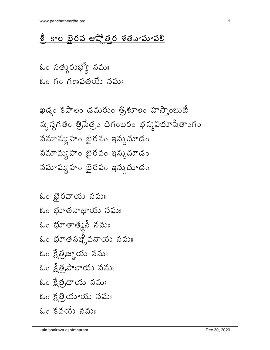## <u> శ్రీ కాల భైరవ అష్కోత్తర శతనామావలి</u>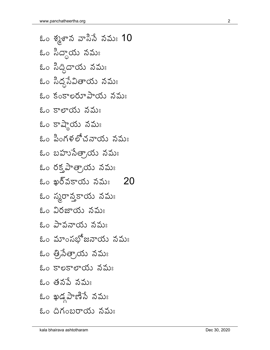ఓం శ్కశాన వాసిసే నమః **10** ఓం సిద్ధాయ నమః ఓం సిద్ధిదాయ నమః ఓం సిద్ధసేవితాయ నమః ఓం కంకాలరూపాయ నమః  $20$  కాలాయ నమః ఓం కాష్మాయ నమః ఓం పింగళలోచనాయ నమః ఓం బహుసేత్రాయ నమః ఓం రక్త పాత్రాయ నమః  $\varepsilon$ ం ఖర్వకాయ నమః  $\,$  20 ఓం స్మరాన్తకాయ నమః ఓం విరజాయ నమః ఓం పావవాయ వమః ఓం మాంసభోజనాయ నమః ఓం త్రి,సేత్రాయ నమః ఓం కాలకాలాయ నమః ఓం తనపే నమః ఓం ఖడ్గపాణిసే నమః ఓం దిగంబరాయ నమః www.panchatheertha.org<br>ఓం శ్మశాన వాసిసే నమః 10 ఓం పావనాయ నమః<br>ఓం మాంగభోజనాయ నమః<br>ఓం త్రినేత్రాయ నమః<br>ఓం కాలకాలాయ నమః<br>ఓం తనపే నమః<br>ఓం తనపే నమః<br>ఓం ధిగంబరాయ నమః<br>ఓం దిగంబరాయ నమః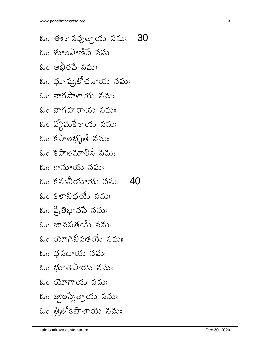| www.panchatheertha.org     |              |
|----------------------------|--------------|
| - 30<br>ఓం ఈశానపుత్రాయ నమః |              |
| ఓం శూలపాణిసే నమః           |              |
| ఓం అభీరపే నమః              |              |
| ఓం ధూమ్రలోచనాయ నమః         |              |
| ఓం నాగపాశాయ నమః            |              |
| ఓం నాగహారాయ నమః            |              |
| ఓం వ్యోమకేశాయ నమః          |              |
| ఓం కపాలభృతే నమః            |              |
| ఓం కపాలమాలిసే నమః          |              |
| ఓం కామాయ నమః               |              |
| ఓం కమనీయాయ నమః 40          |              |
| ఓం కలానిధయే నమః            |              |
| ఓం ప్రితిభానపే నమః         |              |
| ఓం జానపతయే నమః             |              |
| ఓం యోగినీపతయే నమః          |              |
| ఓం ధనదాయ నమః               |              |
| ఓం భూతపాయ నమః              |              |
| ఓం యోగాయ నమః               |              |
| ఓం జ్వలస్సేత్రాయ నమః       |              |
| ఓం త్రిలోకపాలాయ నమః        |              |
| kala bhairava ashtotharam  | Dec 30, 2020 |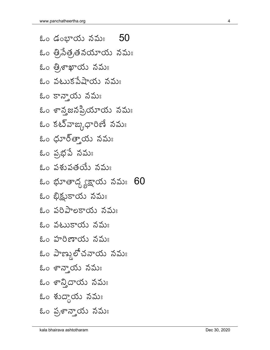$\,$ ఓం డంభాయ నమః  $\,$   $\,50$ ఓం త్రి,సేత్ర,తనయాయ నమః ఓం త్రిశాఖాయ నమః ఓం వటుకపేషాయ నమః ఓం కాన్తాయ నమః ఓం శాన్తజనప్రియాయ నమః ఓం కట్వాఙ్కిధారిణే నమః ఓం ధూర్త్తాయ నమః  $\,$ ఓం ప్రభవే నమః  $\,$ ఓం పశుపతయే నమః ఓం భూతాద్ధ్యక్షాయ నమః  $60$ ఓం భిక్షుకాయ నమః ఓం పరిపాలకాయ నమః  $\&$ ం వటుకాయ వమః ఓం హరిణాయ నమః ఓం పాణ్మలోచనాయ నమః ఓం శాన్తాయ నమః ఓం శాన్తిదాయ నమః ఓం శుద్ధాయ నమః ఓం పుశాన్తాయ నమః www.panchatheertha.org<br>ఓండంభాయ నమః 50 ఓం పటుకాయ నమః<br>ఓం హరిణాయ నమః<br>ఓం పాణ్డలోచనాయ నమః<br>ఓం శాన్తెయ నమః<br>ఓం శాన్తిదాయ నమః<br>ఓం శుద్ధాయ నమః<br>ఓం ప్రశాన్తాయ నమః<br>ఓం ప్రశాన్తాయ నమః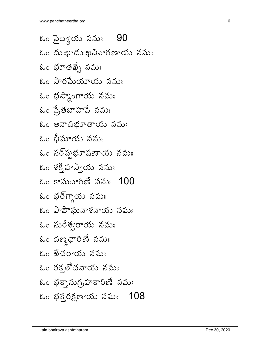ఓం పైద్యాయ నమః 90 ಓಂ ದುಃఖాదుಃఖనివారణాయ నమః ఓం భూతఖ్నే నమః ఓం సారమేయాయ నమః ఓం భస్మాంగాయ నమః ఓం ప్రేతబాహపే నమః ఓం అనాదిభూతాయ నమః ఓం బీమాయ నమః ఓం సర్పృభూషణాయ నమః ఓం శక్తి హస్తాయ నమః  $\&$ ం కామచారిణే నమః  $100$ ఓం భర్గ్గాయ నమః ఓం పాపౌఘనాశనాయ నమః ఓం సురేశ్వరాయ నమః ఓం దణ్దధారిణే నమః ఓం ఖేచరాయ నమః ఓం రక్తోచనాయ నమః ఓం భక్తానుగ్రహకారిణే నమః  $\,$ ఓం భక్తరక్షణాయ నమః  $\,$  108  $\,$ www.panchatheertha.org 6 kala bhairava ashtotharam Dec 30, 2020